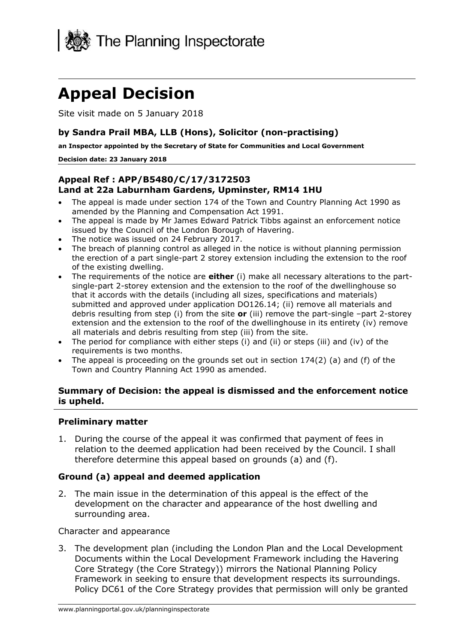

# **Appeal Decision**

Site visit made on 5 January 2018

#### **by Sandra Prail MBA, LLB (Hons), Solicitor (non-practising)**

**an Inspector appointed by the Secretary of State for Communities and Local Government**

#### **Decision date: 23 January 2018**

#### **Appeal Ref : APP/B5480/C/17/3172503 Land at 22a Laburnham Gardens, Upminster, RM14 1HU**

- The appeal is made under section 174 of the Town and Country Planning Act 1990 as amended by the Planning and Compensation Act 1991.
- The appeal is made by Mr James Edward Patrick Tibbs against an enforcement notice issued by the Council of the London Borough of Havering.
- The notice was issued on 24 February 2017.
- The breach of planning control as alleged in the notice is without planning permission the erection of a part single-part 2 storey extension including the extension to the roof of the existing dwelling.
- The requirements of the notice are **either** (i) make all necessary alterations to the partsingle-part 2-storey extension and the extension to the roof of the dwellinghouse so that it accords with the details (including all sizes, specifications and materials) submitted and approved under application DO126.14; (ii) remove all materials and debris resulting from step (i) from the site **or** (iii) remove the part-single –part 2-storey extension and the extension to the roof of the dwellinghouse in its entirety (iv) remove all materials and debris resulting from step (iii) from the site.
- The period for compliance with either steps  $(i)$  and  $(ii)$  or steps  $(iii)$  and  $(iv)$  of the requirements is two months.
- The appeal is proceeding on the grounds set out in section  $174(2)$  (a) and (f) of the Town and Country Planning Act 1990 as amended.

#### **Summary of Decision: the appeal is dismissed and the enforcement notice is upheld.**

#### **Preliminary matter**

1. During the course of the appeal it was confirmed that payment of fees in relation to the deemed application had been received by the Council. I shall therefore determine this appeal based on grounds (a) and (f).

#### **Ground (a) appeal and deemed application**

2. The main issue in the determination of this appeal is the effect of the development on the character and appearance of the host dwelling and surrounding area.

Character and appearance

3. The development plan (including the London Plan and the Local Development Documents within the Local Development Framework including the Havering Core Strategy (the Core Strategy)) mirrors the National Planning Policy Framework in seeking to ensure that development respects its surroundings. Policy DC61 of the Core Strategy provides that permission will only be granted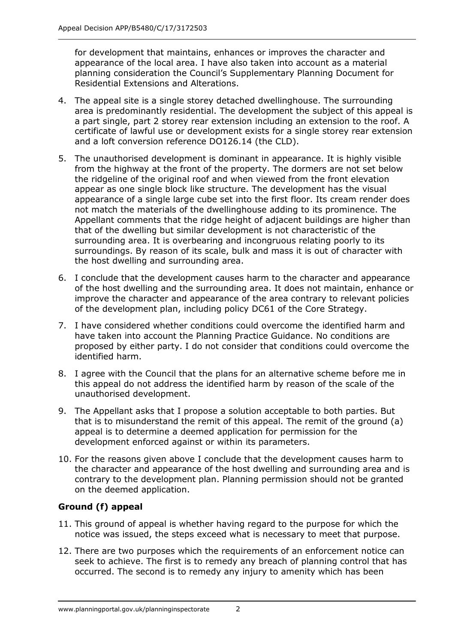for development that maintains, enhances or improves the character and appearance of the local area. I have also taken into account as a material planning consideration the Council's Supplementary Planning Document for Residential Extensions and Alterations.

- 4. The appeal site is a single storey detached dwellinghouse. The surrounding area is predominantly residential. The development the subject of this appeal is a part single, part 2 storey rear extension including an extension to the roof. A certificate of lawful use or development exists for a single storey rear extension and a loft conversion reference DO126.14 (the CLD).
- 5. The unauthorised development is dominant in appearance. It is highly visible from the highway at the front of the property. The dormers are not set below the ridgeline of the original roof and when viewed from the front elevation appear as one single block like structure. The development has the visual appearance of a single large cube set into the first floor. Its cream render does not match the materials of the dwellinghouse adding to its prominence. The Appellant comments that the ridge height of adjacent buildings are higher than that of the dwelling but similar development is not characteristic of the surrounding area. It is overbearing and incongruous relating poorly to its surroundings. By reason of its scale, bulk and mass it is out of character with the host dwelling and surrounding area.
- 6. I conclude that the development causes harm to the character and appearance of the host dwelling and the surrounding area. It does not maintain, enhance or improve the character and appearance of the area contrary to relevant policies of the development plan, including policy DC61 of the Core Strategy.
- 7. I have considered whether conditions could overcome the identified harm and have taken into account the Planning Practice Guidance. No conditions are proposed by either party. I do not consider that conditions could overcome the identified harm.
- 8. I agree with the Council that the plans for an alternative scheme before me in this appeal do not address the identified harm by reason of the scale of the unauthorised development.
- 9. The Appellant asks that I propose a solution acceptable to both parties. But that is to misunderstand the remit of this appeal. The remit of the ground (a) appeal is to determine a deemed application for permission for the development enforced against or within its parameters.
- 10. For the reasons given above I conclude that the development causes harm to the character and appearance of the host dwelling and surrounding area and is contrary to the development plan. Planning permission should not be granted on the deemed application.

### **Ground (f) appeal**

- 11. This ground of appeal is whether having regard to the purpose for which the notice was issued, the steps exceed what is necessary to meet that purpose.
- 12. There are two purposes which the requirements of an enforcement notice can seek to achieve. The first is to remedy any breach of planning control that has occurred. The second is to remedy any injury to amenity which has been